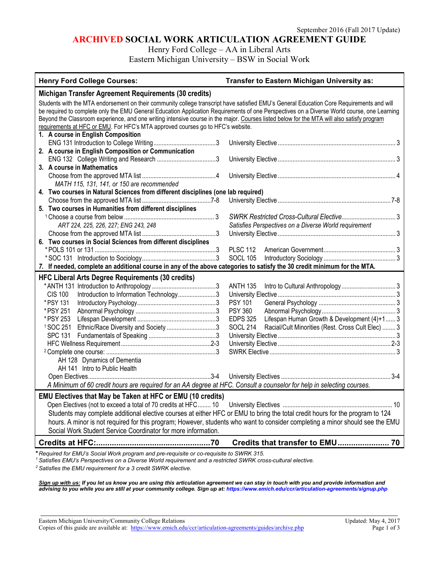## **ARCHIVED SOCIAL WORK ARTICULATION AGREEMENT GUIDE**

Henry Ford College – AA in Liberal Arts

Eastern Michigan University – BSW in Social Work

| <b>Henry Ford College Courses:</b>                                                                                                                                                   | Transfer to Eastern Michigan University as:                          |
|--------------------------------------------------------------------------------------------------------------------------------------------------------------------------------------|----------------------------------------------------------------------|
| Michigan Transfer Agreement Requirements (30 credits)                                                                                                                                |                                                                      |
| Students with the MTA endorsement on their community college transcript have satisfied EMU's General Education Core Requirements and will                                            |                                                                      |
| be required to complete only the EMU General Education Application Requirements of one Perspectives on a Diverse World course, one Learning                                          |                                                                      |
| Beyond the Classroom experience, and one writing intensive course in the major. Courses listed below for the MTA will also satisfy program                                           |                                                                      |
| requirements at HFC or EMU. For HFC's MTA approved courses go to HFC's website.                                                                                                      |                                                                      |
| 1. A course in English Composition                                                                                                                                                   |                                                                      |
|                                                                                                                                                                                      |                                                                      |
| 2. A course in English Composition or Communication                                                                                                                                  |                                                                      |
|                                                                                                                                                                                      |                                                                      |
| 3. A course in Mathematics                                                                                                                                                           |                                                                      |
|                                                                                                                                                                                      |                                                                      |
| MATH 115, 131, 141, or 150 are recommended                                                                                                                                           |                                                                      |
| 4. Two courses in Natural Sciences from different disciplines (one lab required)                                                                                                     |                                                                      |
|                                                                                                                                                                                      |                                                                      |
| 5. Two courses in Humanities from different disciplines                                                                                                                              |                                                                      |
|                                                                                                                                                                                      |                                                                      |
| ART 224, 225, 226, 227; ENG 243, 248                                                                                                                                                 | Satisfies Perspectives on a Diverse World requirement                |
| 6. Two courses in Social Sciences from different disciplines                                                                                                                         |                                                                      |
|                                                                                                                                                                                      | <b>PLSC 112</b>                                                      |
|                                                                                                                                                                                      | <b>SOCL 105</b>                                                      |
|                                                                                                                                                                                      |                                                                      |
| 7. If needed, complete an additional course in any of the above categories to satisfy the 30 credit minimum for the MTA.<br><b>HFC Liberal Arts Degree Requirements (30 credits)</b> |                                                                      |
|                                                                                                                                                                                      | <b>ANTH 135</b>                                                      |
| <b>CIS 100</b><br>Introduction to Information Technology3                                                                                                                            |                                                                      |
| *PSY 131                                                                                                                                                                             | <b>PSY 101</b>                                                       |
| * PSY 251                                                                                                                                                                            | <b>PSY 360</b>                                                       |
| * PSY 253                                                                                                                                                                            | <b>EDPS 325</b><br>Lifespan Human Growth & Development (4)+1 3       |
| <sup>1</sup> SOC 251<br>Ethnic/Race Diversity and Society 3                                                                                                                          | <b>SOCL 214</b><br>Racial/Cult Minorities (Rest. Cross Cult Elec)  3 |
| <b>SPC 131</b>                                                                                                                                                                       |                                                                      |
|                                                                                                                                                                                      |                                                                      |
|                                                                                                                                                                                      |                                                                      |
| AH 128 Dynamics of Dementia                                                                                                                                                          |                                                                      |
| AH 141 Intro to Public Health                                                                                                                                                        |                                                                      |
|                                                                                                                                                                                      |                                                                      |
| A Minimum of 60 credit hours are required for an AA degree at HFC. Consult a counselor for help in selecting courses.                                                                |                                                                      |
| EMU Electives that May be Taken at HFC or EMU (10 credits)                                                                                                                           |                                                                      |
|                                                                                                                                                                                      |                                                                      |
| Students may complete additional elective courses at either HFC or EMU to bring the total credit hours for the program to 124                                                        |                                                                      |
| hours. A minor is not required for this program; However, students who want to consider completing a minor should see the EMU                                                        |                                                                      |
| Social Work Student Service Coordinator for more information.                                                                                                                        |                                                                      |
|                                                                                                                                                                                      |                                                                      |
|                                                                                                                                                                                      |                                                                      |

**\****Required for EMU's Social Work program and pre-requisite or co-requisite to SWRK 315.*

*<sup>1</sup> Satisfies EMU's Perspectives on a Diverse World requirement and a restricted SWRK cross-cultural elective.*

*<sup>2</sup> Satisfies the EMU requirement for a 3 credit SWRK elective.*

*Sign up with us: If you let us know you are using this articulation agreement we can stay in touch with you and provide information and advising to you while you are still at your community college. Sign up at: https://www.emich.edu/ccr/articulation-agreements/signup.php*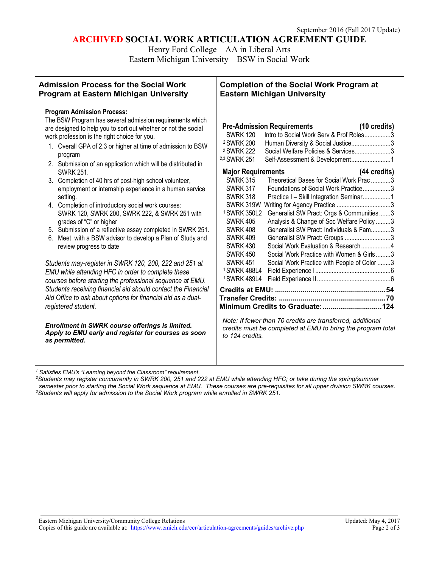## **ARCHIVED SOCIAL WORK ARTICULATION AGREEMENT GUIDE**

Henry Ford College – AA in Liberal Arts

Eastern Michigan University – BSW in Social Work

| <b>Admission Process for the Social Work</b>                                                                                                                                                                                                                                                                                                                                                                                                                                                                                                                                                                                                                                                                                                                                                                                                                                                                                                                                                                                                                                                                                                                                                                                                                          | <b>Completion of the Social Work Program at</b>                                                                                                                                                                                                                                                                                                                                                                                                                                                                                                                                                                                                                                                                                                                                                                                                                                                                                                                                                                                                                                                                                                                                                            |
|-----------------------------------------------------------------------------------------------------------------------------------------------------------------------------------------------------------------------------------------------------------------------------------------------------------------------------------------------------------------------------------------------------------------------------------------------------------------------------------------------------------------------------------------------------------------------------------------------------------------------------------------------------------------------------------------------------------------------------------------------------------------------------------------------------------------------------------------------------------------------------------------------------------------------------------------------------------------------------------------------------------------------------------------------------------------------------------------------------------------------------------------------------------------------------------------------------------------------------------------------------------------------|------------------------------------------------------------------------------------------------------------------------------------------------------------------------------------------------------------------------------------------------------------------------------------------------------------------------------------------------------------------------------------------------------------------------------------------------------------------------------------------------------------------------------------------------------------------------------------------------------------------------------------------------------------------------------------------------------------------------------------------------------------------------------------------------------------------------------------------------------------------------------------------------------------------------------------------------------------------------------------------------------------------------------------------------------------------------------------------------------------------------------------------------------------------------------------------------------------|
| Program at Eastern Michigan University                                                                                                                                                                                                                                                                                                                                                                                                                                                                                                                                                                                                                                                                                                                                                                                                                                                                                                                                                                                                                                                                                                                                                                                                                                | <b>Eastern Michigan University</b>                                                                                                                                                                                                                                                                                                                                                                                                                                                                                                                                                                                                                                                                                                                                                                                                                                                                                                                                                                                                                                                                                                                                                                         |
| <b>Program Admission Process:</b><br>The BSW Program has several admission requirements which<br>are designed to help you to sort out whether or not the social<br>work profession is the right choice for you.<br>1. Overall GPA of 2.3 or higher at time of admission to BSW<br>program<br>2. Submission of an application which will be distributed in<br><b>SWRK 251.</b><br>3. Completion of 40 hrs of post-high school volunteer,<br>employment or internship experience in a human service<br>setting.<br>4. Completion of introductory social work courses:<br>SWRK 120, SWRK 200, SWRK 222, & SWRK 251 with<br>grades of "C" or higher<br>5. Submission of a reflective essay completed in SWRK 251.<br>6. Meet with a BSW advisor to develop a Plan of Study and<br>review progress to date<br>Students may-register in SWRK 120, 200, 222 and 251 at<br>EMU while attending HFC in order to complete these<br>courses before starting the professional sequence at EMU.<br>Students receiving financial aid should contact the Financial<br>Aid Office to ask about options for financial aid as a dual-<br>registered student.<br>Enrollment in SWRK course offerings is limited.<br>Apply to EMU early and register for courses as soon<br>as permitted. | <b>Pre-Admission Requirements</b><br>(10 credits)<br>Intro to Social Work Serv & Prof Roles3<br><b>SWRK 120</b><br><sup>2</sup> SWRK 200<br>Human Diversity & Social Justice3<br><sup>2</sup> SWRK 222<br>Social Welfare Policies & Services3<br><sup>2,3</sup> SWRK 251<br>Self-Assessment & Development1<br><b>Major Requirements</b><br>(44 credits)<br>Theoretical Bases for Social Work Prac 3<br><b>SWRK 315</b><br><b>SWRK 317</b><br>Foundations of Social Work Practice3<br><b>SWRK 318</b><br>Practice I - Skill Integration Seminar1<br>SWRK 319W<br><sup>1</sup> SWRK 350L2<br>Generalist SW Pract: Orgs & Communities3<br>Analysis & Change of Soc Welfare Policy 3<br><b>SWRK 405</b><br>Generalist SW Pract: Individuals & Fam3<br><b>SWRK 408</b><br><b>SWRK 409</b><br>Generalist SW Pract: Groups 3<br>Social Work Evaluation & Research4<br><b>SWRK 430</b><br><b>SWRK 450</b><br>Social Work Practice with Women & Girls3<br><b>SWRK 451</b><br>Social Work Practice with People of Color 3<br><sup>1</sup> SWRK 488L4<br>1 SWRK 489L4<br>Note: If fewer than 70 credits are transferred, additional<br>credits must be completed at EMU to bring the program total<br>to 124 credits. |

*<sup>1</sup> Satisfies EMU's "Learning beyond the Classroom" requirement.*

*2Students may register concurrently in SWRK 200, 251 and 222 at EMU while attending HFC; or take during the spring/summer*  semester prior to starting the Social Work sequence at EMU. These courses are pre-requisites for all upper division SWRK courses.<br><sup>3</sup>Students will apply for admission to the Social Work program while enrolled in SWRK 251.